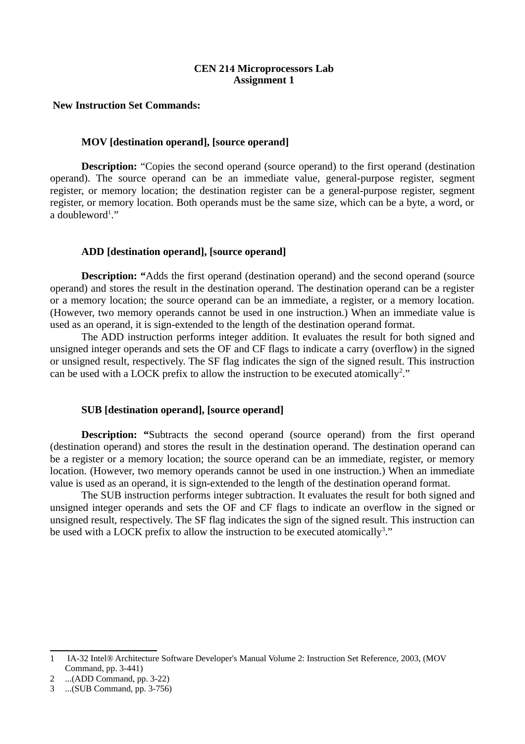## **CEN 214 Microprocessors Lab Assignment 1**

## **New Instruction Set Commands:**

## **MOV [destination operand], [source operand]**

**Description:** "Copies the second operand (source operand) to the first operand (destination operand). The source operand can be an immediate value, general-purpose register, segment register, or memory location; the destination register can be a general-purpose register, segment register, or memory location. Both operands must be the same size, which can be a byte, a word, or a doubleword $^1$  $^1$ ."

### **ADD [destination operand], [source operand]**

**Description: "**Adds the first operand (destination operand) and the second operand (source operand) and stores the result in the destination operand. The destination operand can be a register or a memory location; the source operand can be an immediate, a register, or a memory location. (However, two memory operands cannot be used in one instruction.) When an immediate value is used as an operand, it is sign-extended to the length of the destination operand format.

The ADD instruction performs integer addition. It evaluates the result for both signed and unsigned integer operands and sets the OF and CF flags to indicate a carry (overflow) in the signed or unsigned result, respectively. The SF flag indicates the sign of the signed result. This instruction can be used with a LOCK prefix to allow the instruction to be executed atomically<sup>[2](#page-0-1)</sup>."

### **SUB [destination operand], [source operand]**

**Description:** "Subtracts the second operand (source operand) from the first operand (destination operand) and stores the result in the destination operand. The destination operand can be a register or a memory location; the source operand can be an immediate, register, or memory location. (However, two memory operands cannot be used in one instruction.) When an immediate value is used as an operand, it is sign-extended to the length of the destination operand format.

The SUB instruction performs integer subtraction. It evaluates the result for both signed and unsigned integer operands and sets the OF and CF flags to indicate an overflow in the signed or unsigned result, respectively. The SF flag indicates the sign of the signed result. This instruction can be used with a LOCK prefix to allow the instruction to be executed atomically<sup>[3](#page-0-2)</sup>."

<span id="page-0-0"></span><sup>1</sup> IA-32 Intel® Architecture Software Developer's Manual Volume 2: Instruction Set Reference, 2003, (MOV Command, pp. 3-441)

<span id="page-0-1"></span><sup>2</sup> ...(ADD Command, pp. 3-22)

<span id="page-0-2"></span><sup>3</sup> ...(SUB Command, pp. 3-756)